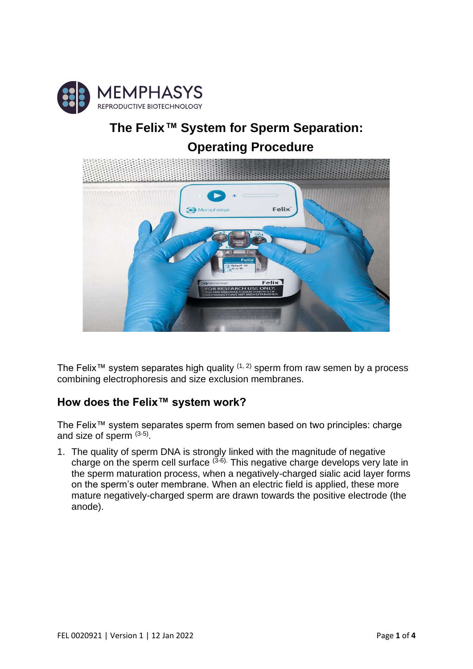

## **The Felix***™* **System for Sperm Separation: Operating Procedure**



The Felix<sup>™</sup> system separates high quality  $(1, 2)$  sperm from raw semen by a process combining electrophoresis and size exclusion membranes.

## **How does the Felix™ system work?**

The Felix™ system separates sperm from semen based on two principles: charge and size of sperm  $(3-5)$ .

1. The quality of sperm DNA is strongly linked with the magnitude of negative charge on the sperm cell surface  $(3-6)$ . This negative charge develops very late in the sperm maturation process, when a negatively-charged sialic acid layer forms on the sperm's outer membrane. When an electric field is applied, these more mature negatively-charged sperm are drawn towards the positive electrode (the anode).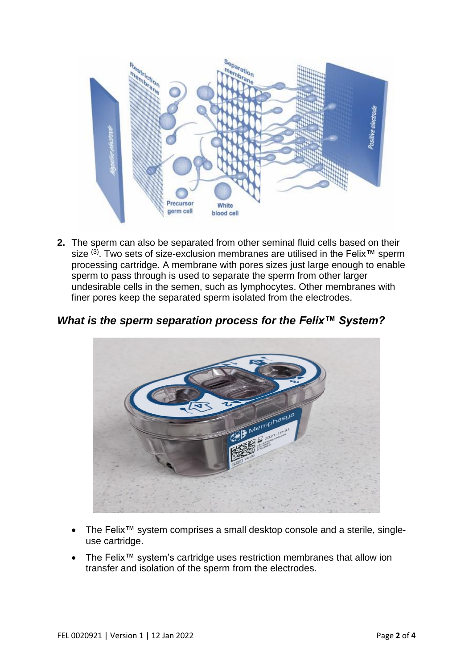

**2.** The sperm can also be separated from other seminal fluid cells based on their size (3). Two sets of size-exclusion membranes are utilised in the Felix<sup>™</sup> sperm processing cartridge. A membrane with pores sizes just large enough to enable sperm to pass through is used to separate the sperm from other larger undesirable cells in the semen, such as lymphocytes. Other membranes with finer pores keep the separated sperm isolated from the electrodes.

*What is the sperm separation process for the Felix™ System?* 



- The Felix™ system comprises a small desktop console and a sterile, singleuse cartridge.
- The Felix™ system's cartridge uses restriction membranes that allow ion transfer and isolation of the sperm from the electrodes.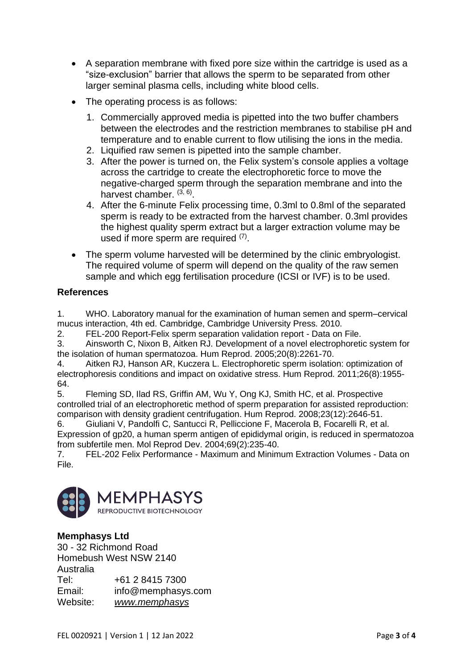- A separation membrane with fixed pore size within the cartridge is used as a "size-exclusion" barrier that allows the sperm to be separated from other larger seminal plasma cells, including white blood cells.
- The operating process is as follows:
	- 1. Commercially approved media is pipetted into the two buffer chambers between the electrodes and the restriction membranes to stabilise pH and temperature and to enable current to flow utilising the ions in the media.
	- 2. Liquified raw semen is pipetted into the sample chamber.
	- 3. After the power is turned on, the Felix system's console applies a voltage across the cartridge to create the electrophoretic force to move the negative-charged sperm through the separation membrane and into the harvest chamber. (3, 6).
	- 4. After the 6-minute Felix processing time, 0.3ml to 0.8ml of the separated sperm is ready to be extracted from the harvest chamber. 0.3ml provides the highest quality sperm extract but a larger extraction volume may be used if more sperm are required  $(7)$ .
- The sperm volume harvested will be determined by the clinic embryologist. The required volume of sperm will depend on the quality of the raw semen sample and which egg fertilisation procedure (ICSI or IVF) is to be used.

## **References**

1. WHO. Laboratory manual for the examination of human semen and sperm–cervical mucus interaction, 4th ed. Cambridge, Cambridge University Press. 2010.

2. FEL-200 Report-Felix sperm separation validation report - Data on File.

3. Ainsworth C, Nixon B, Aitken RJ. Development of a novel electrophoretic system for the isolation of human spermatozoa. Hum Reprod. 2005;20(8):2261-70.

4. Aitken RJ, Hanson AR, Kuczera L. Electrophoretic sperm isolation: optimization of electrophoresis conditions and impact on oxidative stress. Hum Reprod. 2011;26(8):1955- 64.

5. Fleming SD, Ilad RS, Griffin AM, Wu Y, Ong KJ, Smith HC, et al. Prospective controlled trial of an electrophoretic method of sperm preparation for assisted reproduction: comparison with density gradient centrifugation. Hum Reprod. 2008;23(12):2646-51.

6. Giuliani V, Pandolfi C, Santucci R, Pelliccione F, Macerola B, Focarelli R, et al. Expression of gp20, a human sperm antigen of epididymal origin, is reduced in spermatozoa from subfertile men. Mol Reprod Dev. 2004;69(2):235-40.

7. FEL-202 Felix Performance - Maximum and Minimum Extraction Volumes - Data on File.



## **Memphasys Ltd**

30 - 32 Richmond Road Homebush West NSW 2140 Australia Tel: +61 2 8415 7300 Email: info@memphasys.com Website: *[www.memphasys](http://www.memphasys/)*